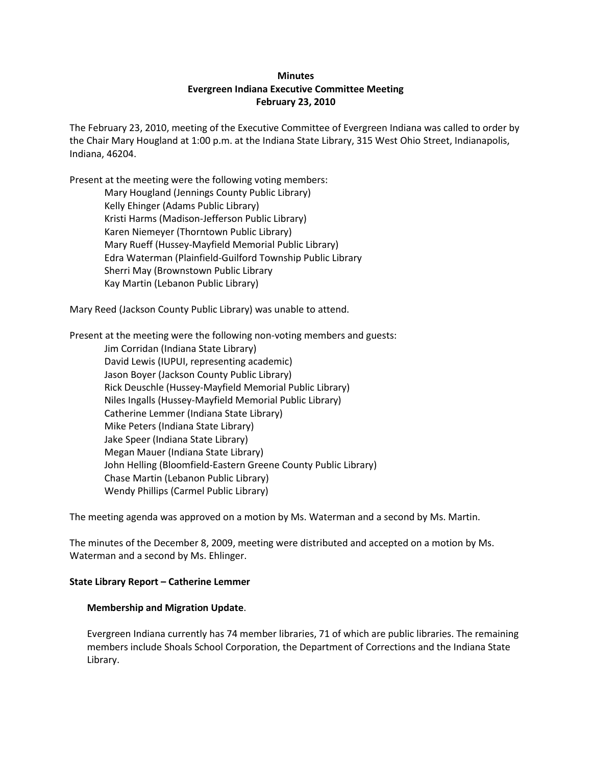# **Minutes Evergreen Indiana Executive Committee Meeting February 23, 2010**

The February 23, 2010, meeting of the Executive Committee of Evergreen Indiana was called to order by the Chair Mary Hougland at 1:00 p.m. at the Indiana State Library, 315 West Ohio Street, Indianapolis, Indiana, 46204.

Present at the meeting were the following voting members:

Mary Hougland (Jennings County Public Library) Kelly Ehinger (Adams Public Library) Kristi Harms (Madison-Jefferson Public Library) Karen Niemeyer (Thorntown Public Library) Mary Rueff (Hussey-Mayfield Memorial Public Library) Edra Waterman (Plainfield-Guilford Township Public Library Sherri May (Brownstown Public Library Kay Martin (Lebanon Public Library)

Mary Reed (Jackson County Public Library) was unable to attend.

Present at the meeting were the following non-voting members and guests: Jim Corridan (Indiana State Library) David Lewis (IUPUI, representing academic) Jason Boyer (Jackson County Public Library) Rick Deuschle (Hussey-Mayfield Memorial Public Library) Niles Ingalls (Hussey-Mayfield Memorial Public Library) Catherine Lemmer (Indiana State Library) Mike Peters (Indiana State Library) Jake Speer (Indiana State Library) Megan Mauer (Indiana State Library) John Helling (Bloomfield-Eastern Greene County Public Library) Chase Martin (Lebanon Public Library) Wendy Phillips (Carmel Public Library)

The meeting agenda was approved on a motion by Ms. Waterman and a second by Ms. Martin.

The minutes of the December 8, 2009, meeting were distributed and accepted on a motion by Ms. Waterman and a second by Ms. Ehlinger.

#### **State Library Report – Catherine Lemmer**

#### **Membership and Migration Update**.

Evergreen Indiana currently has 74 member libraries, 71 of which are public libraries. The remaining members include Shoals School Corporation, the Department of Corrections and the Indiana State Library.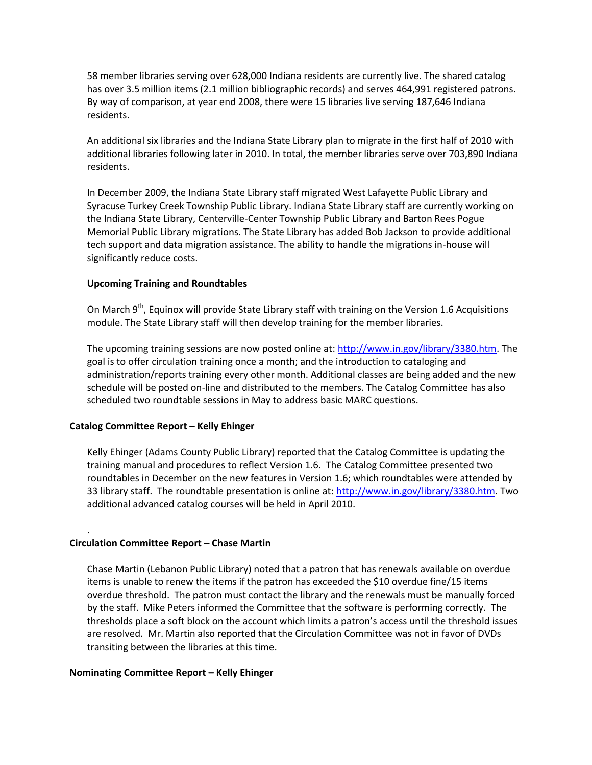58 member libraries serving over 628,000 Indiana residents are currently live. The shared catalog has over 3.5 million items (2.1 million bibliographic records) and serves 464,991 registered patrons. By way of comparison, at year end 2008, there were 15 libraries live serving 187,646 Indiana residents.

An additional six libraries and the Indiana State Library plan to migrate in the first half of 2010 with additional libraries following later in 2010. In total, the member libraries serve over 703,890 Indiana residents.

In December 2009, the Indiana State Library staff migrated West Lafayette Public Library and Syracuse Turkey Creek Township Public Library. Indiana State Library staff are currently working on the Indiana State Library, Centerville-Center Township Public Library and Barton Rees Pogue Memorial Public Library migrations. The State Library has added Bob Jackson to provide additional tech support and data migration assistance. The ability to handle the migrations in-house will significantly reduce costs.

### **Upcoming Training and Roundtables**

On March 9<sup>th</sup>, Equinox will provide State Library staff with training on the Version 1.6 Acquisitions module. The State Library staff will then develop training for the member libraries.

The upcoming training sessions are now posted online at: [http://www.in.gov/library/3380.htm.](http://www.in.gov/library/3380.htm) The goal is to offer circulation training once a month; and the introduction to cataloging and administration/reports training every other month. Additional classes are being added and the new schedule will be posted on-line and distributed to the members. The Catalog Committee has also scheduled two roundtable sessions in May to address basic MARC questions.

#### **Catalog Committee Report – Kelly Ehinger**

Kelly Ehinger (Adams County Public Library) reported that the Catalog Committee is updating the training manual and procedures to reflect Version 1.6. The Catalog Committee presented two roundtables in December on the new features in Version 1.6; which roundtables were attended by 33 library staff. The roundtable presentation is online at: [http://www.in.gov/library/3380.htm.](http://www.in.gov/library/3380.htm) Two additional advanced catalog courses will be held in April 2010.

#### **Circulation Committee Report – Chase Martin**

.

Chase Martin (Lebanon Public Library) noted that a patron that has renewals available on overdue items is unable to renew the items if the patron has exceeded the \$10 overdue fine/15 items overdue threshold. The patron must contact the library and the renewals must be manually forced by the staff. Mike Peters informed the Committee that the software is performing correctly. The thresholds place a soft block on the account which limits a patron's access until the threshold issues are resolved. Mr. Martin also reported that the Circulation Committee was not in favor of DVDs transiting between the libraries at this time.

#### **Nominating Committee Report – Kelly Ehinger**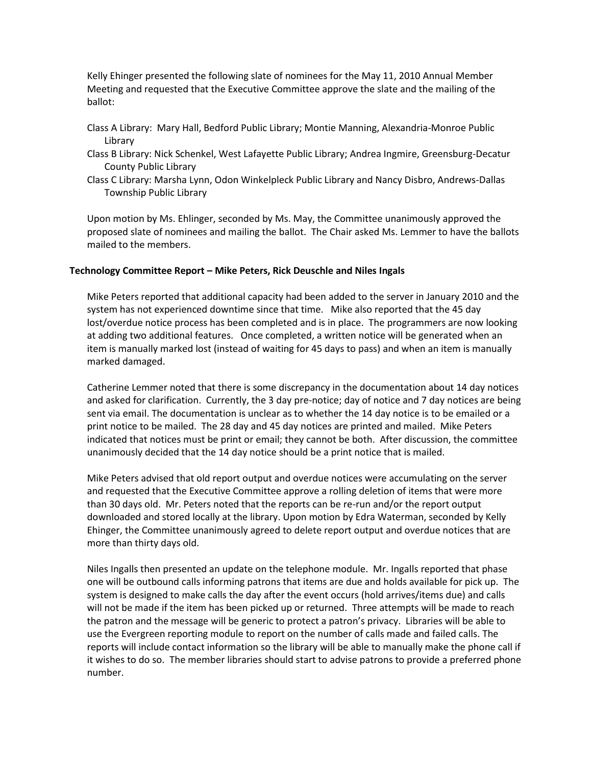Kelly Ehinger presented the following slate of nominees for the May 11, 2010 Annual Member Meeting and requested that the Executive Committee approve the slate and the mailing of the ballot:

- Class A Library: Mary Hall, Bedford Public Library; Montie Manning, Alexandria-Monroe Public Library
- Class B Library: Nick Schenkel, West Lafayette Public Library; Andrea Ingmire, Greensburg-Decatur County Public Library
- Class C Library: Marsha Lynn, Odon Winkelpleck Public Library and Nancy Disbro, Andrews-Dallas Township Public Library

Upon motion by Ms. Ehlinger, seconded by Ms. May, the Committee unanimously approved the proposed slate of nominees and mailing the ballot. The Chair asked Ms. Lemmer to have the ballots mailed to the members.

## **Technology Committee Report – Mike Peters, Rick Deuschle and Niles Ingals**

Mike Peters reported that additional capacity had been added to the server in January 2010 and the system has not experienced downtime since that time. Mike also reported that the 45 day lost/overdue notice process has been completed and is in place. The programmers are now looking at adding two additional features. Once completed, a written notice will be generated when an item is manually marked lost (instead of waiting for 45 days to pass) and when an item is manually marked damaged.

Catherine Lemmer noted that there is some discrepancy in the documentation about 14 day notices and asked for clarification. Currently, the 3 day pre-notice; day of notice and 7 day notices are being sent via email. The documentation is unclear as to whether the 14 day notice is to be emailed or a print notice to be mailed. The 28 day and 45 day notices are printed and mailed. Mike Peters indicated that notices must be print or email; they cannot be both. After discussion, the committee unanimously decided that the 14 day notice should be a print notice that is mailed.

Mike Peters advised that old report output and overdue notices were accumulating on the server and requested that the Executive Committee approve a rolling deletion of items that were more than 30 days old. Mr. Peters noted that the reports can be re-run and/or the report output downloaded and stored locally at the library. Upon motion by Edra Waterman, seconded by Kelly Ehinger, the Committee unanimously agreed to delete report output and overdue notices that are more than thirty days old.

Niles Ingalls then presented an update on the telephone module. Mr. Ingalls reported that phase one will be outbound calls informing patrons that items are due and holds available for pick up. The system is designed to make calls the day after the event occurs (hold arrives/items due) and calls will not be made if the item has been picked up or returned. Three attempts will be made to reach the patron and the message will be generic to protect a patron's privacy. Libraries will be able to use the Evergreen reporting module to report on the number of calls made and failed calls. The reports will include contact information so the library will be able to manually make the phone call if it wishes to do so. The member libraries should start to advise patrons to provide a preferred phone number.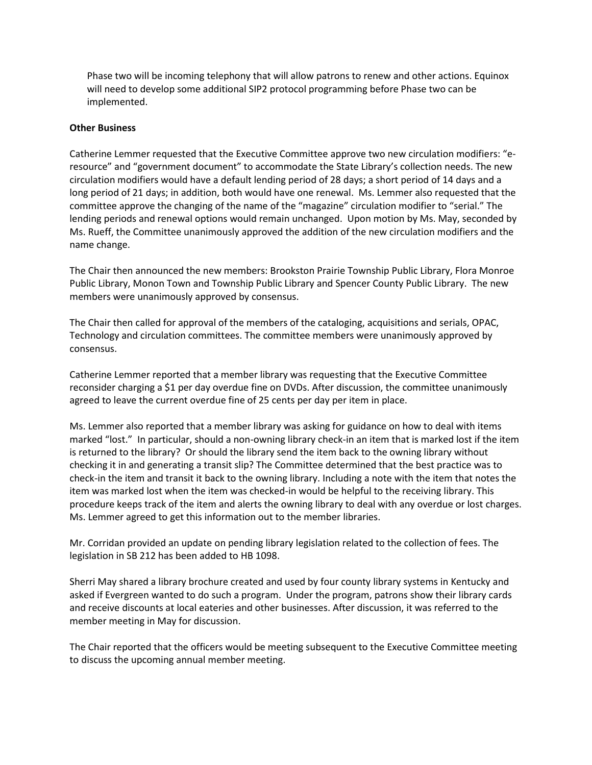Phase two will be incoming telephony that will allow patrons to renew and other actions. Equinox will need to develop some additional SIP2 protocol programming before Phase two can be implemented.

## **Other Business**

Catherine Lemmer requested that the Executive Committee approve two new circulation modifiers: "eresource" and "government document" to accommodate the State Library's collection needs. The new circulation modifiers would have a default lending period of 28 days; a short period of 14 days and a long period of 21 days; in addition, both would have one renewal. Ms. Lemmer also requested that the committee approve the changing of the name of the "magazine" circulation modifier to "serial." The lending periods and renewal options would remain unchanged. Upon motion by Ms. May, seconded by Ms. Rueff, the Committee unanimously approved the addition of the new circulation modifiers and the name change.

The Chair then announced the new members: Brookston Prairie Township Public Library, Flora Monroe Public Library, Monon Town and Township Public Library and Spencer County Public Library. The new members were unanimously approved by consensus.

The Chair then called for approval of the members of the cataloging, acquisitions and serials, OPAC, Technology and circulation committees. The committee members were unanimously approved by consensus.

Catherine Lemmer reported that a member library was requesting that the Executive Committee reconsider charging a \$1 per day overdue fine on DVDs. After discussion, the committee unanimously agreed to leave the current overdue fine of 25 cents per day per item in place.

Ms. Lemmer also reported that a member library was asking for guidance on how to deal with items marked "lost." In particular, should a non-owning library check-in an item that is marked lost if the item is returned to the library? Or should the library send the item back to the owning library without checking it in and generating a transit slip? The Committee determined that the best practice was to check-in the item and transit it back to the owning library. Including a note with the item that notes the item was marked lost when the item was checked-in would be helpful to the receiving library. This procedure keeps track of the item and alerts the owning library to deal with any overdue or lost charges. Ms. Lemmer agreed to get this information out to the member libraries.

Mr. Corridan provided an update on pending library legislation related to the collection of fees. The legislation in SB 212 has been added to HB 1098.

Sherri May shared a library brochure created and used by four county library systems in Kentucky and asked if Evergreen wanted to do such a program. Under the program, patrons show their library cards and receive discounts at local eateries and other businesses. After discussion, it was referred to the member meeting in May for discussion.

The Chair reported that the officers would be meeting subsequent to the Executive Committee meeting to discuss the upcoming annual member meeting.